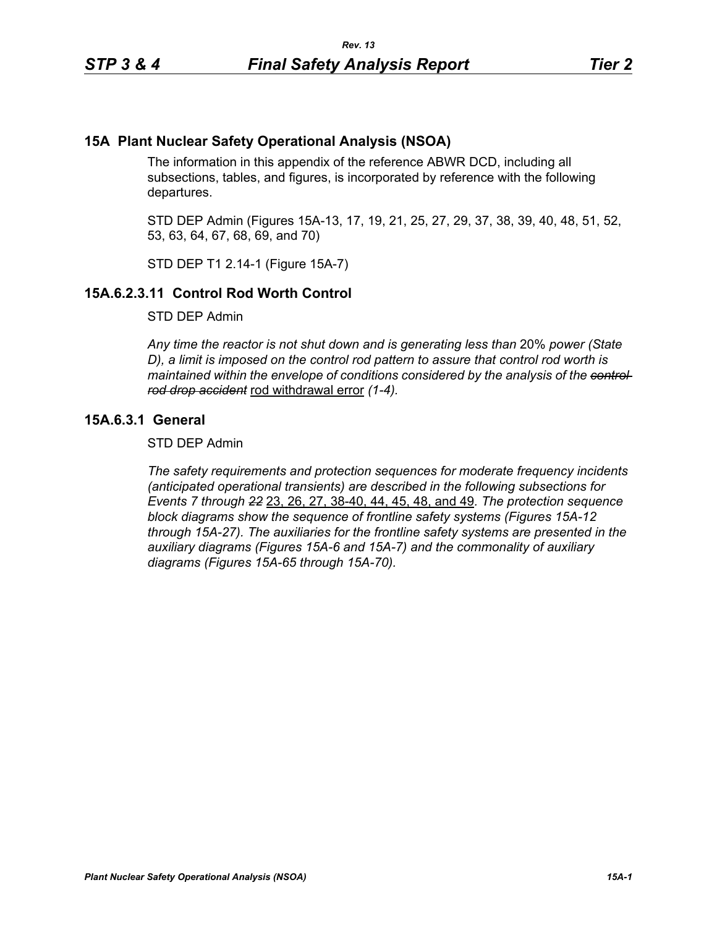## **15A Plant Nuclear Safety Operational Analysis (NSOA)**

The information in this appendix of the reference ABWR DCD, including all subsections, tables, and figures, is incorporated by reference with the following departures.

STD DEP Admin (Figures 15A-13, 17, 19, 21, 25, 27, 29, 37, 38, 39, 40, 48, 51, 52, 53, 63, 64, 67, 68, 69, and 70)

STD DEP T1 2.14-1 (Figure 15A-7)

## **15A.6.2.3.11 Control Rod Worth Control**

STD DEP Admin

*Any time the reactor is not shut down and is generating less than* 20% *power (State D), a limit is imposed on the control rod pattern to assure that control rod worth is maintained within the envelope of conditions considered by the analysis of the control rod drop accident* rod withdrawal error *(1-4).*

## **15A.6.3.1 General**

STD DEP Admin

*The safety requirements and protection sequences for moderate frequency incidents (anticipated operational transients) are described in the following subsections for Events 7 through 22* 23, 26, 27, 38-40, 44, 45, 48, and 49*. The protection sequence block diagrams show the sequence of frontline safety systems (Figures 15A-12 through 15A-27). The auxiliaries for the frontline safety systems are presented in the auxiliary diagrams (Figures 15A-6 and 15A-7) and the commonality of auxiliary diagrams (Figures 15A-65 through 15A-70).*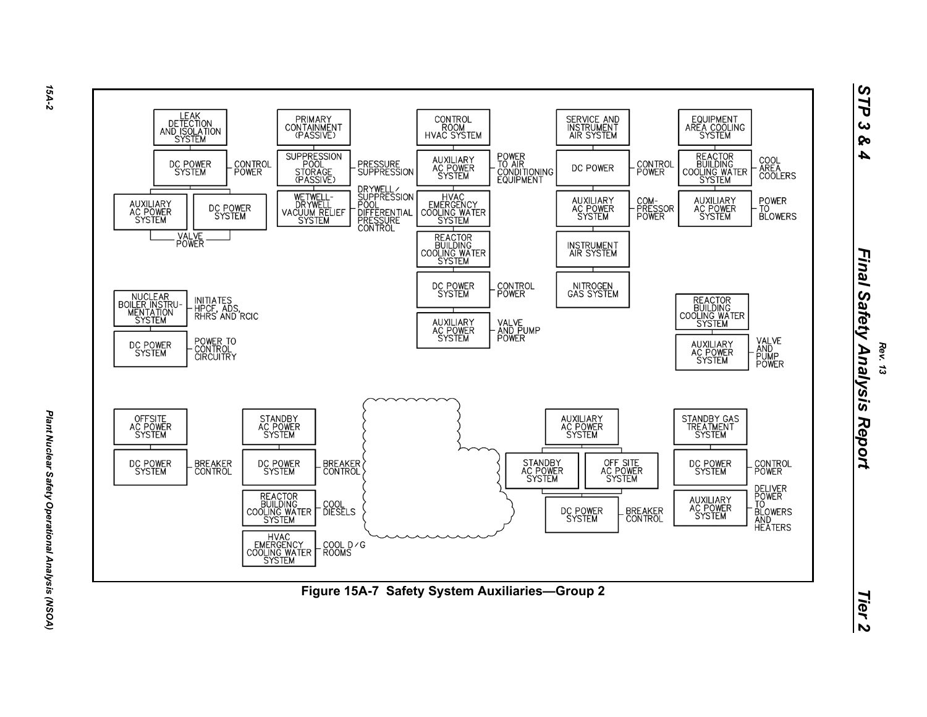

*15A-2*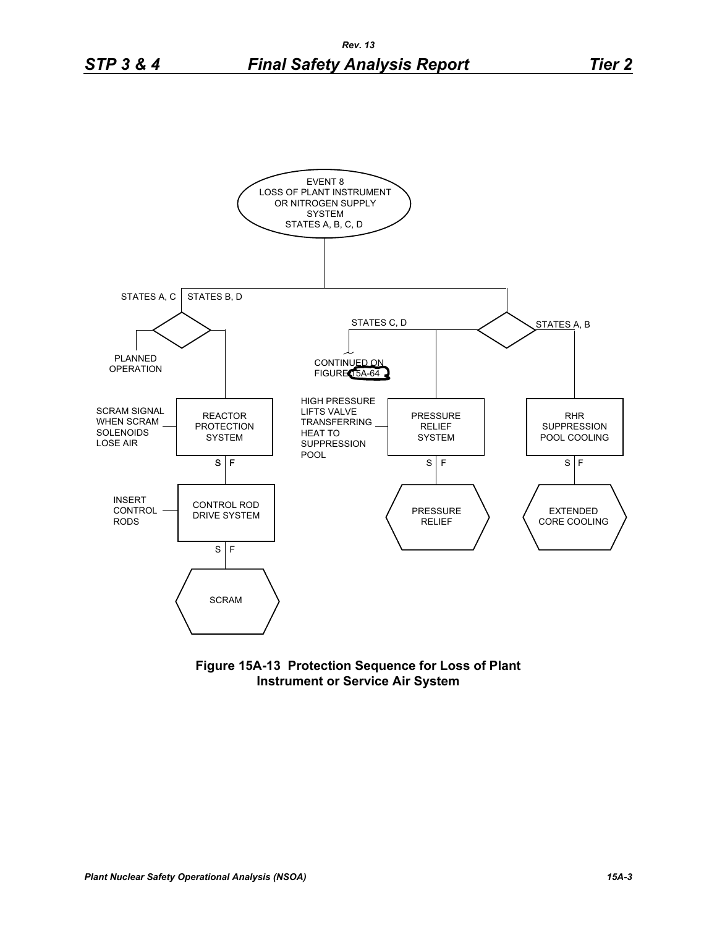

**Figure 15A-13 Protection Sequence for Loss of Plant Instrument or Service Air System**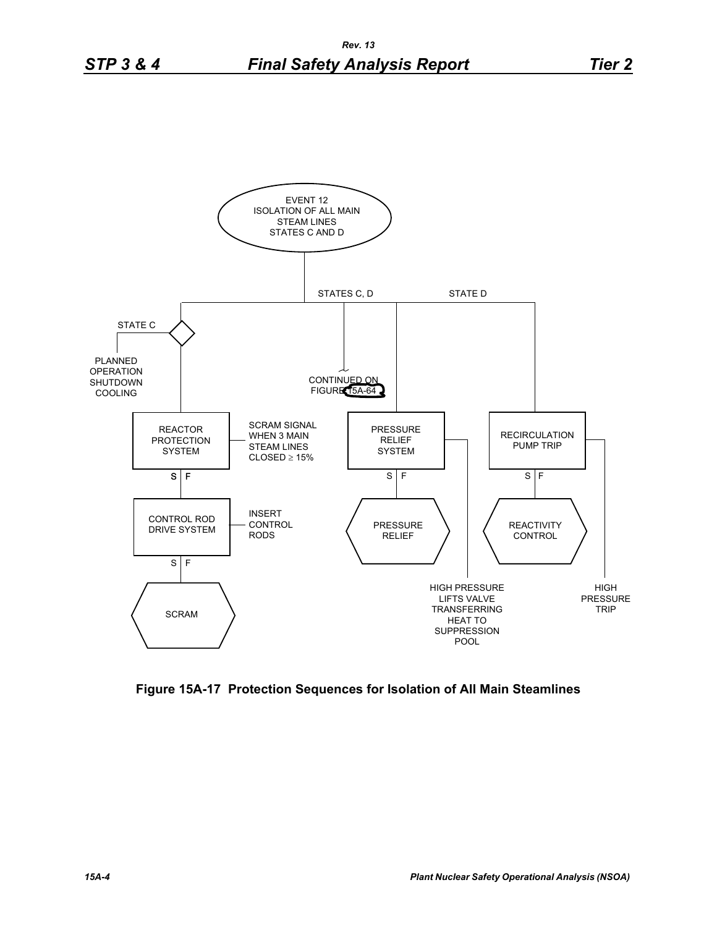

**Figure 15A-17 Protection Sequences for Isolation of All Main Steamlines**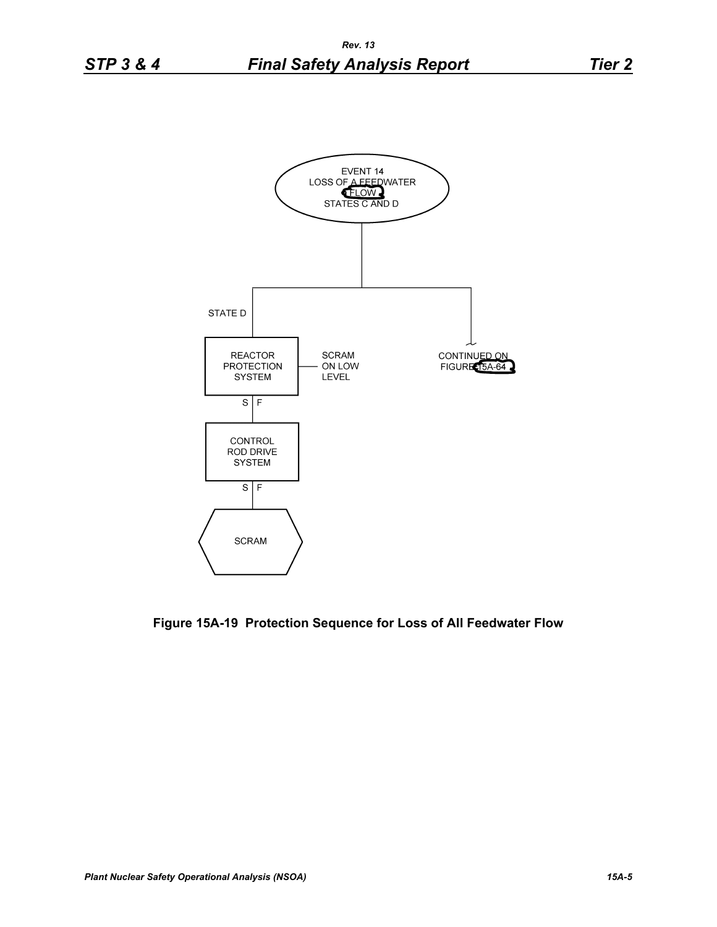

**Figure 15A-19 Protection Sequence for Loss of All Feedwater Flow**

 $S \mid F$ 

**SCRAM**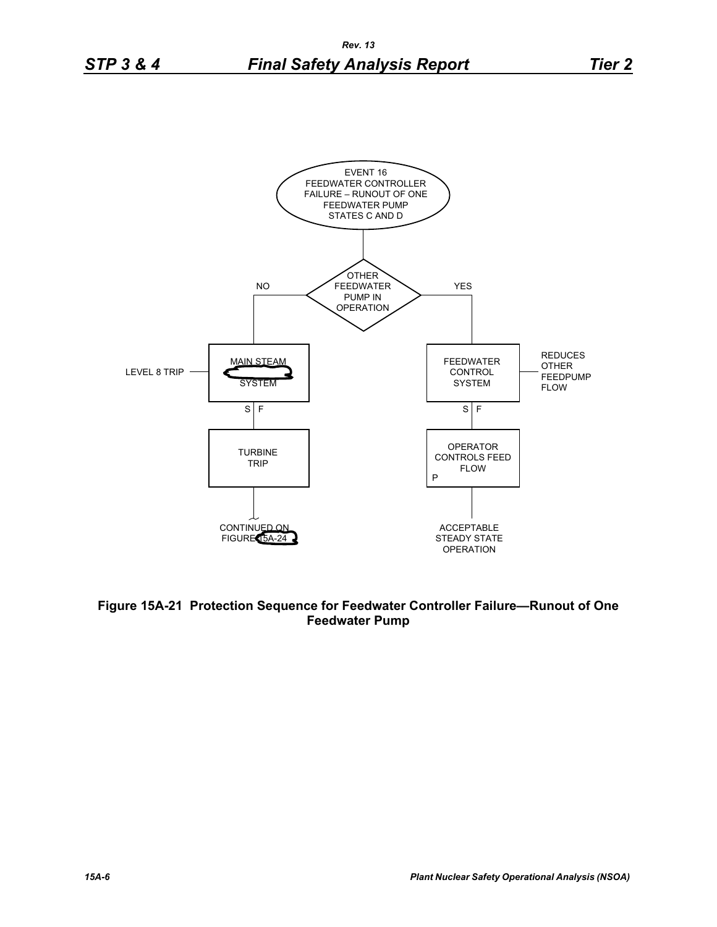![](_page_5_Figure_3.jpeg)

**Figure 15A-21 Protection Sequence for Feedwater Controller Failure—Runout of One Feedwater Pump**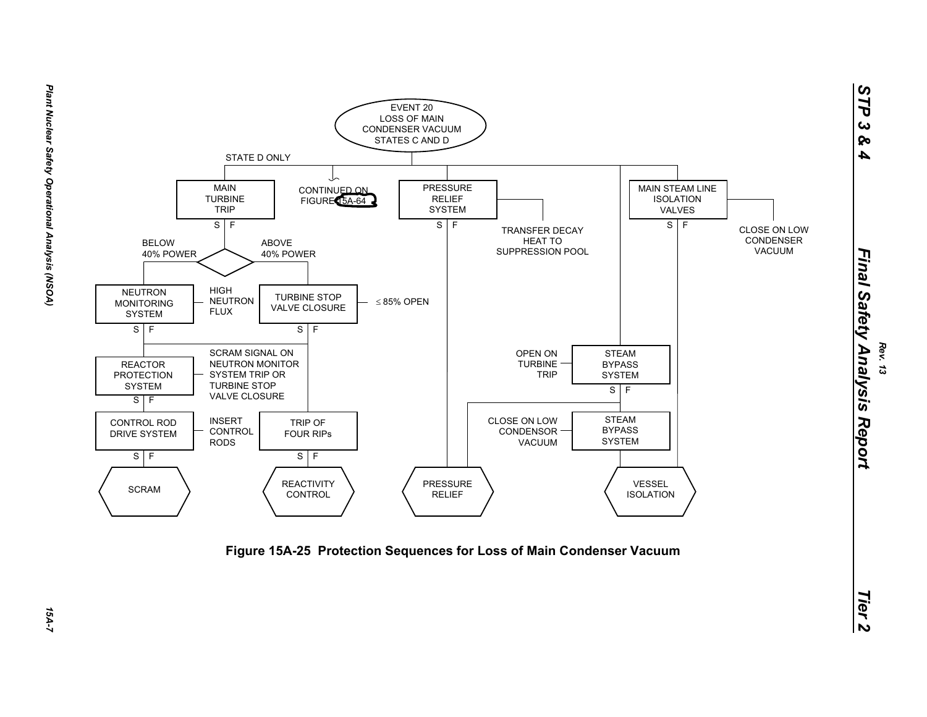![](_page_6_Figure_0.jpeg)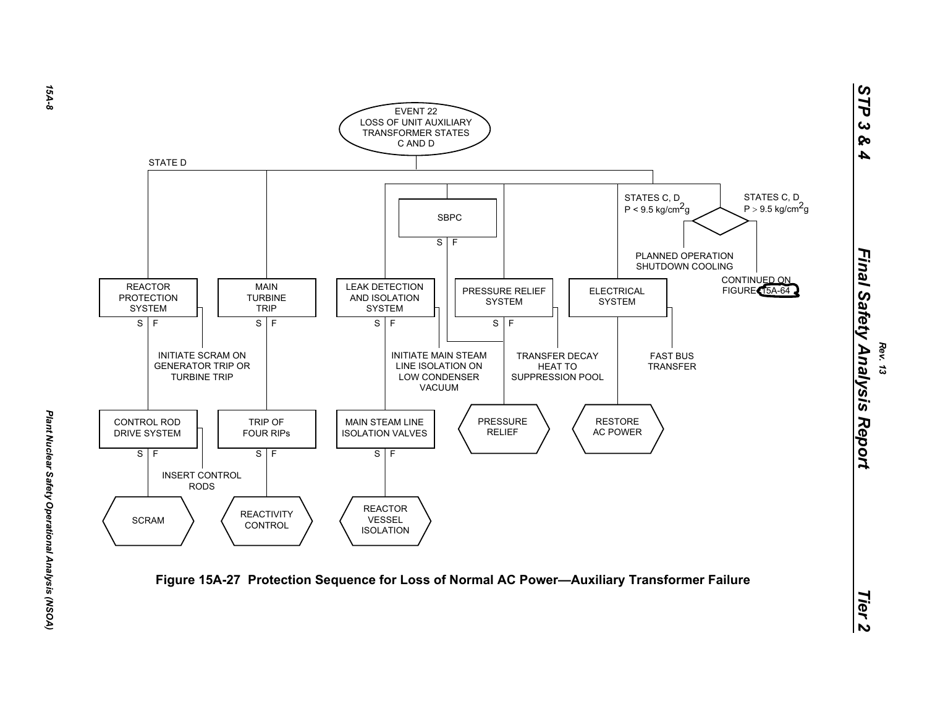![](_page_7_Figure_0.jpeg)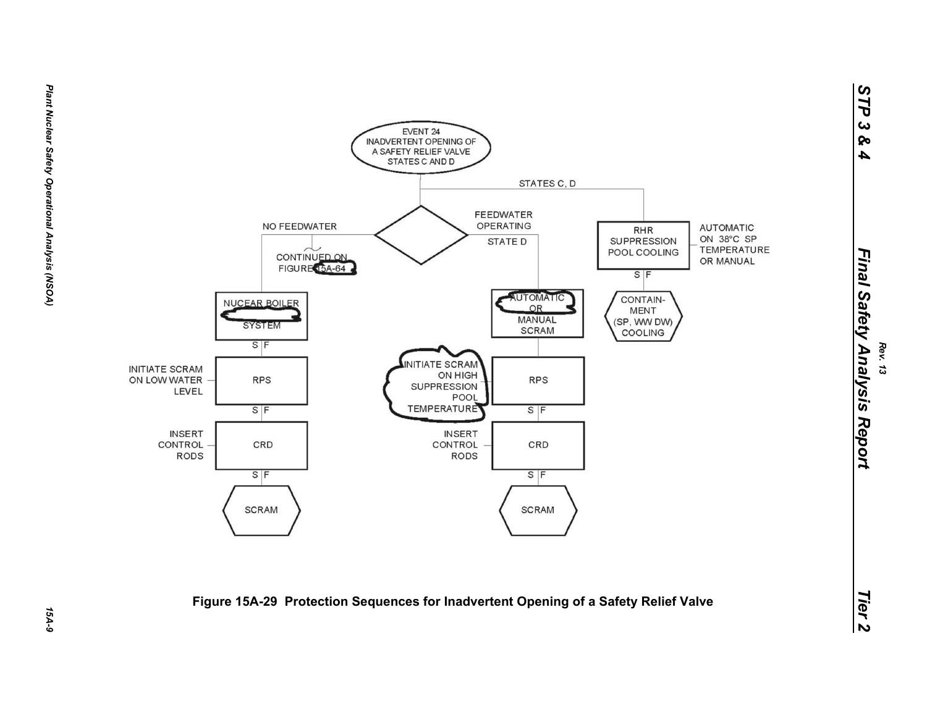![](_page_8_Figure_0.jpeg)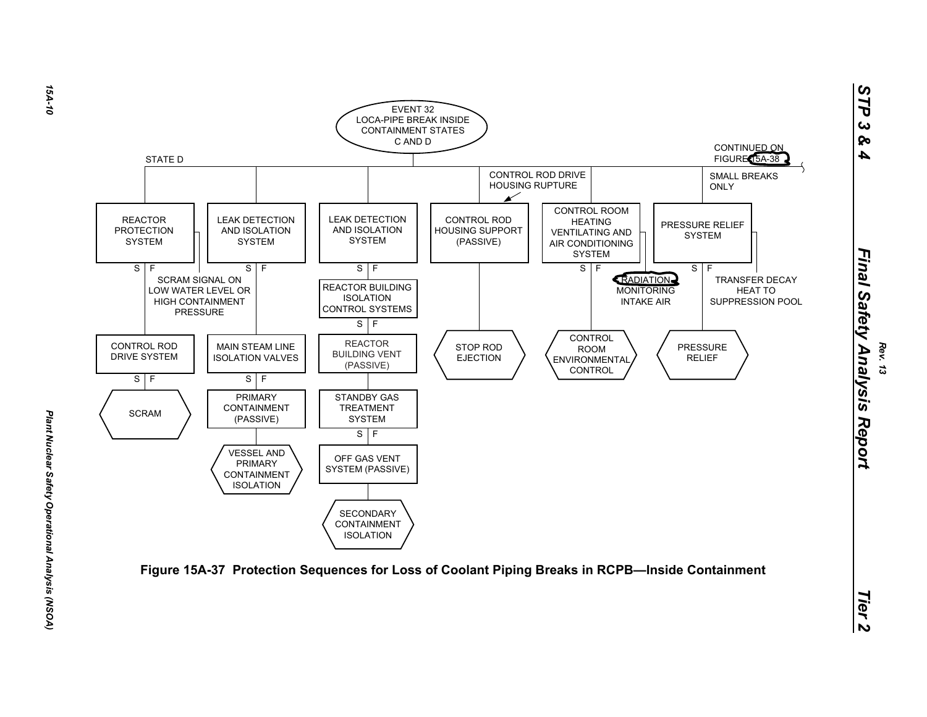![](_page_9_Figure_0.jpeg)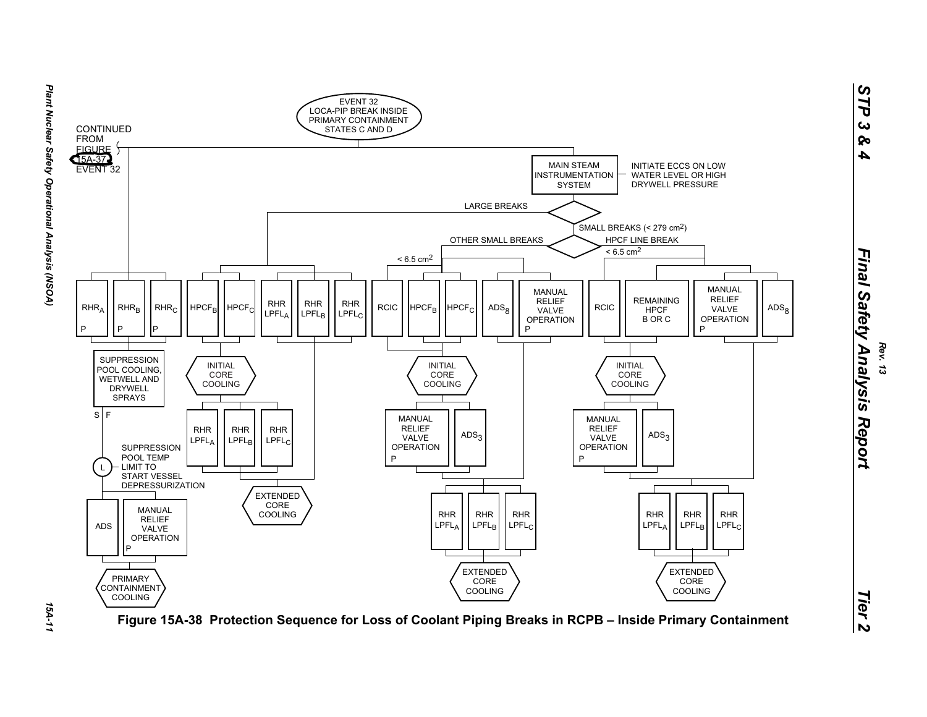![](_page_10_Figure_0.jpeg)

154-11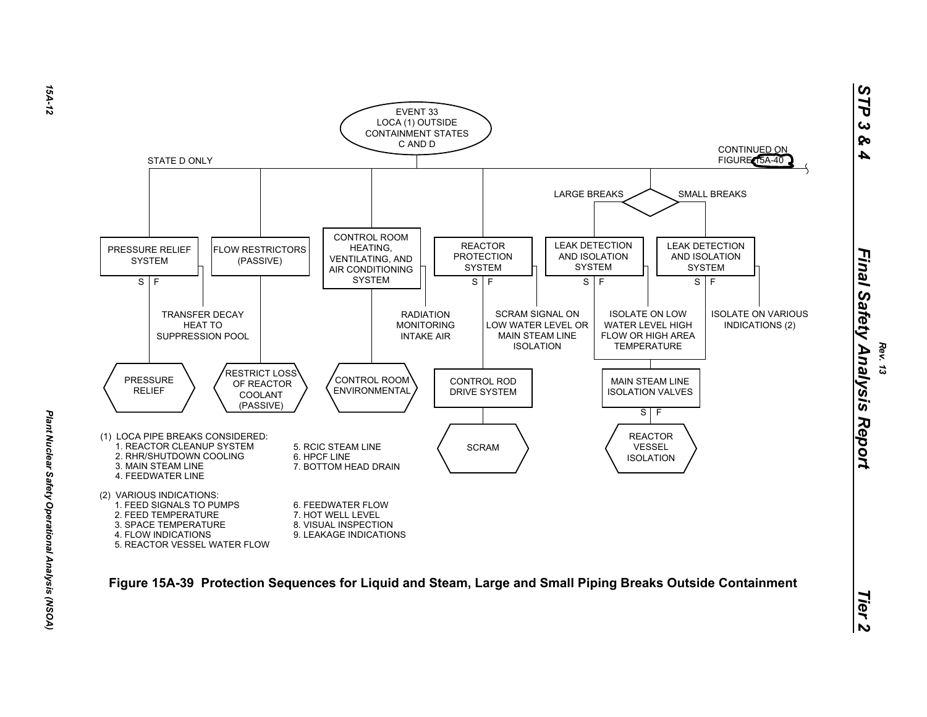![](_page_11_Figure_0.jpeg)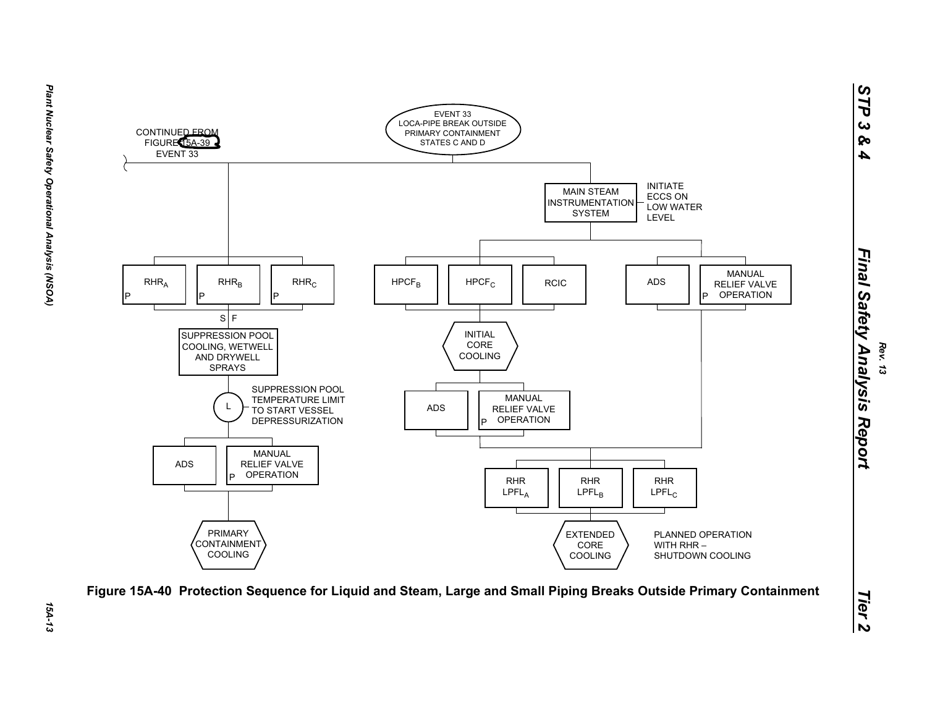![](_page_12_Figure_1.jpeg)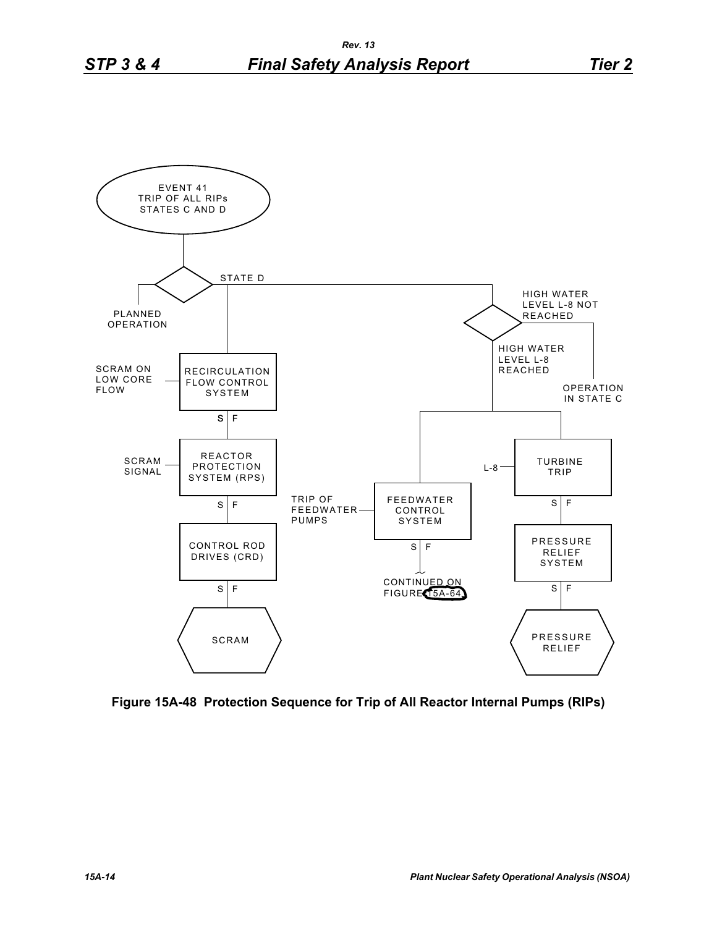![](_page_13_Figure_2.jpeg)

**Figure 15A-48 Protection Sequence for Trip of All Reactor Internal Pumps (RIPs)**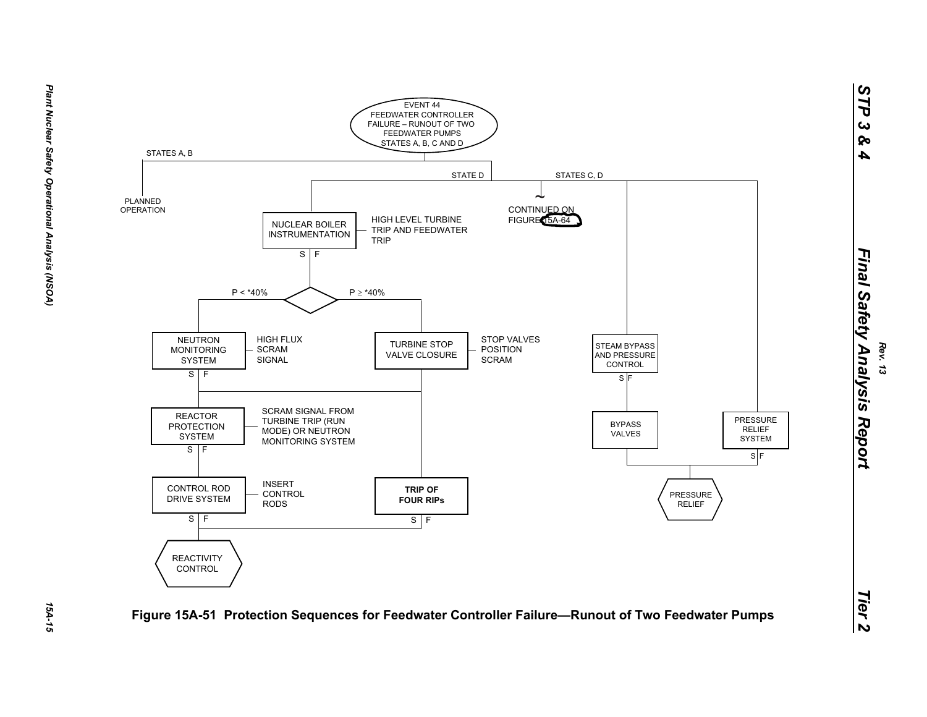![](_page_14_Figure_0.jpeg)

15A-15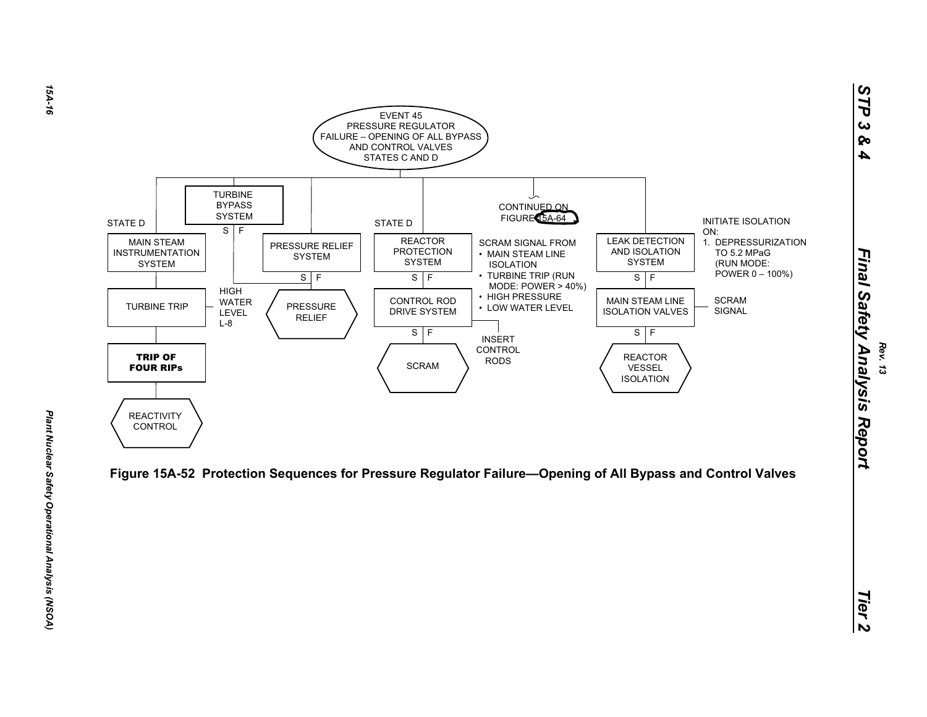![](_page_15_Figure_0.jpeg)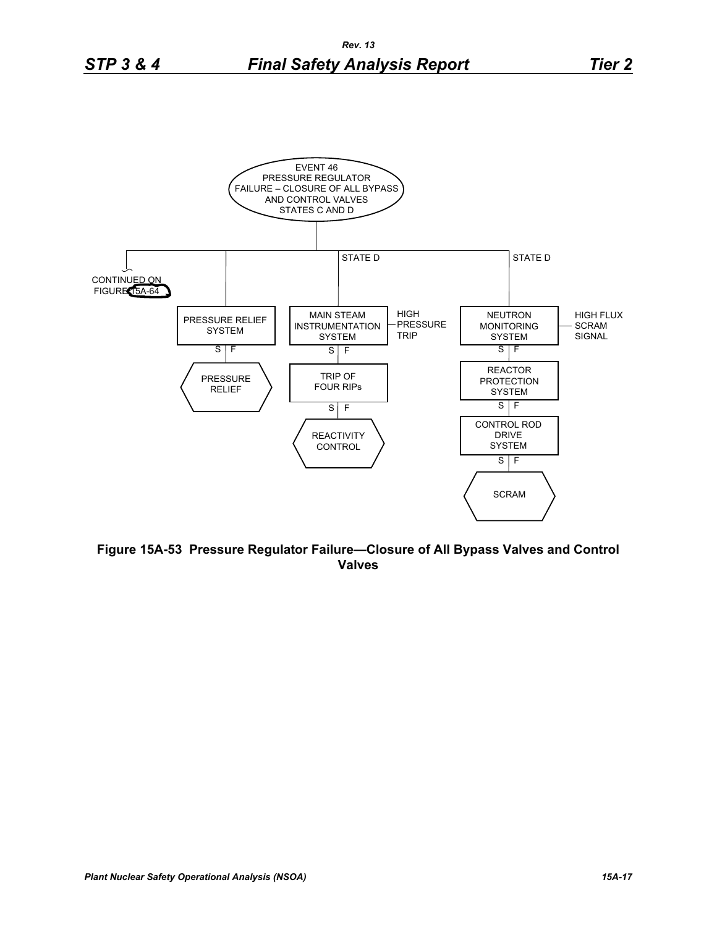![](_page_16_Figure_2.jpeg)

**Figure 15A-53 Pressure Regulator Failure—Closure of All Bypass Valves and Control Valves**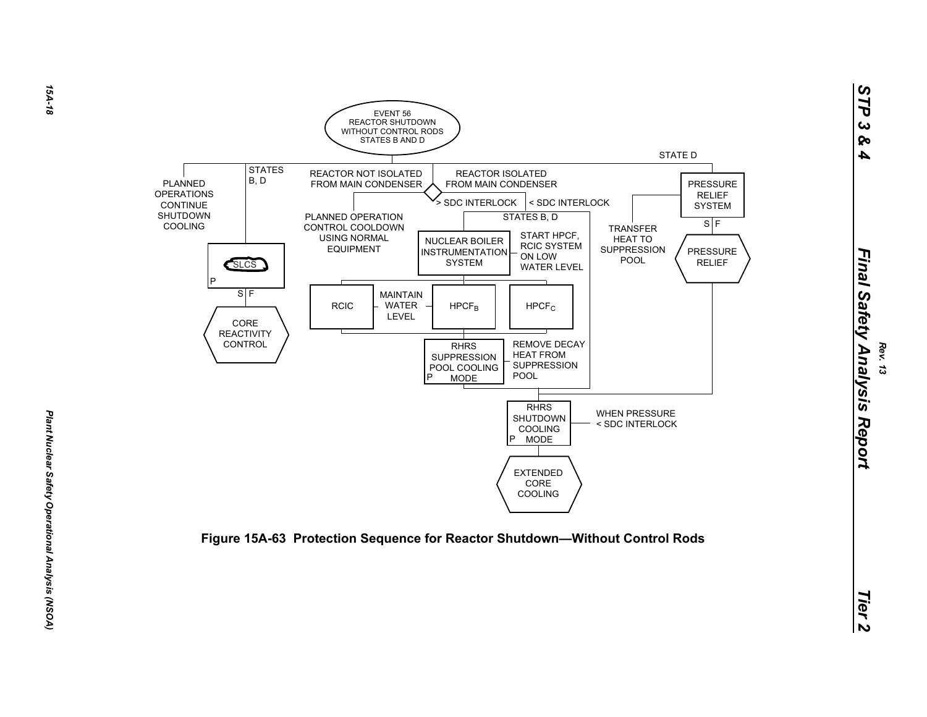![](_page_17_Figure_0.jpeg)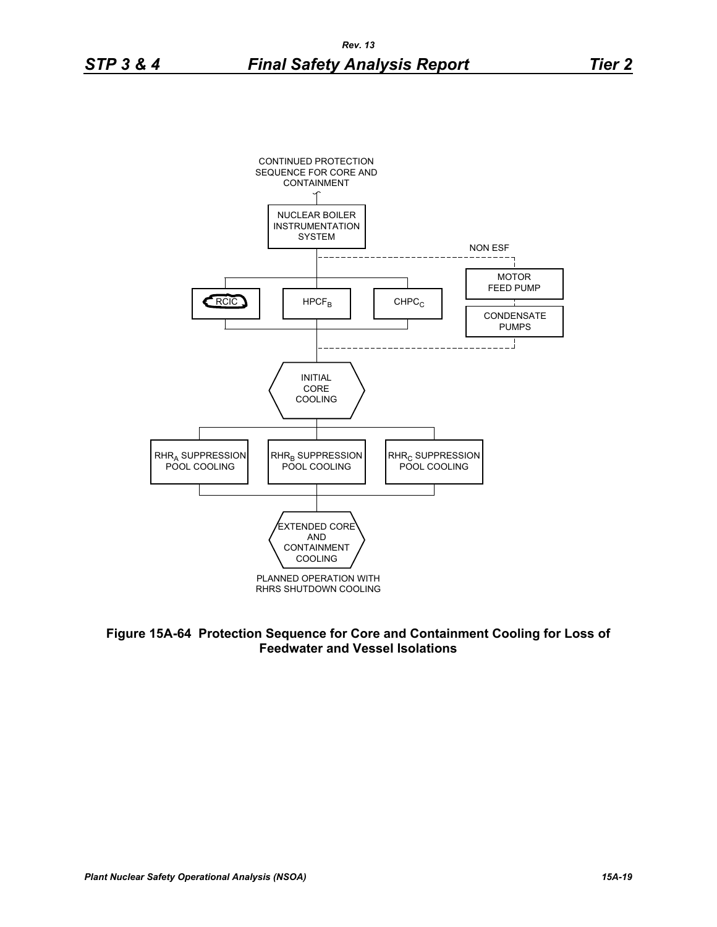![](_page_18_Figure_3.jpeg)

**Figure 15A-64 Protection Sequence for Core and Containment Cooling for Loss of Feedwater and Vessel Isolations**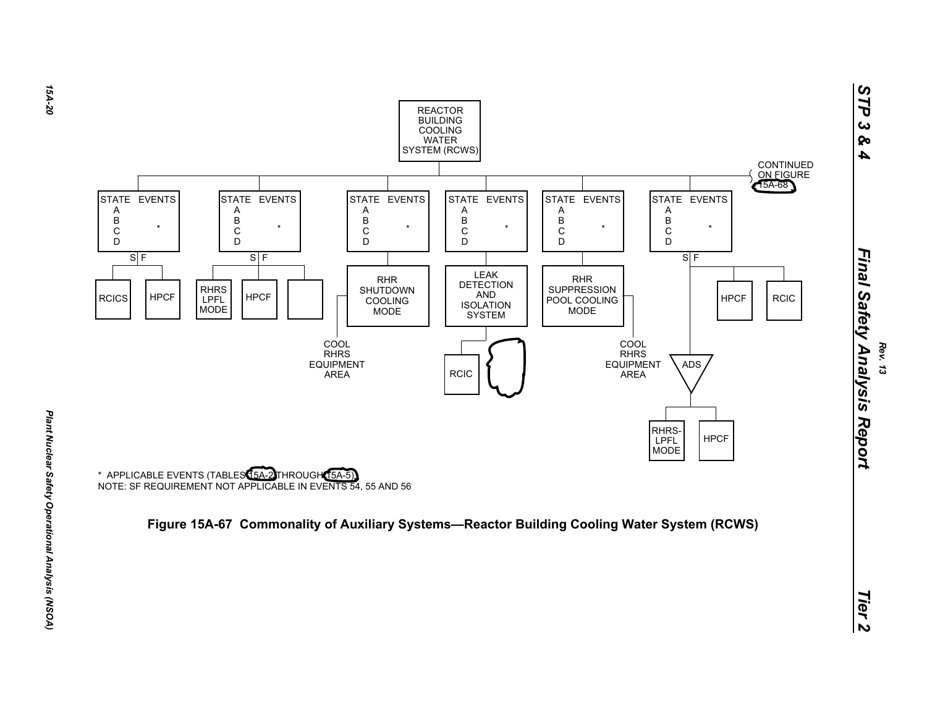![](_page_19_Figure_0.jpeg)

![](_page_19_Figure_2.jpeg)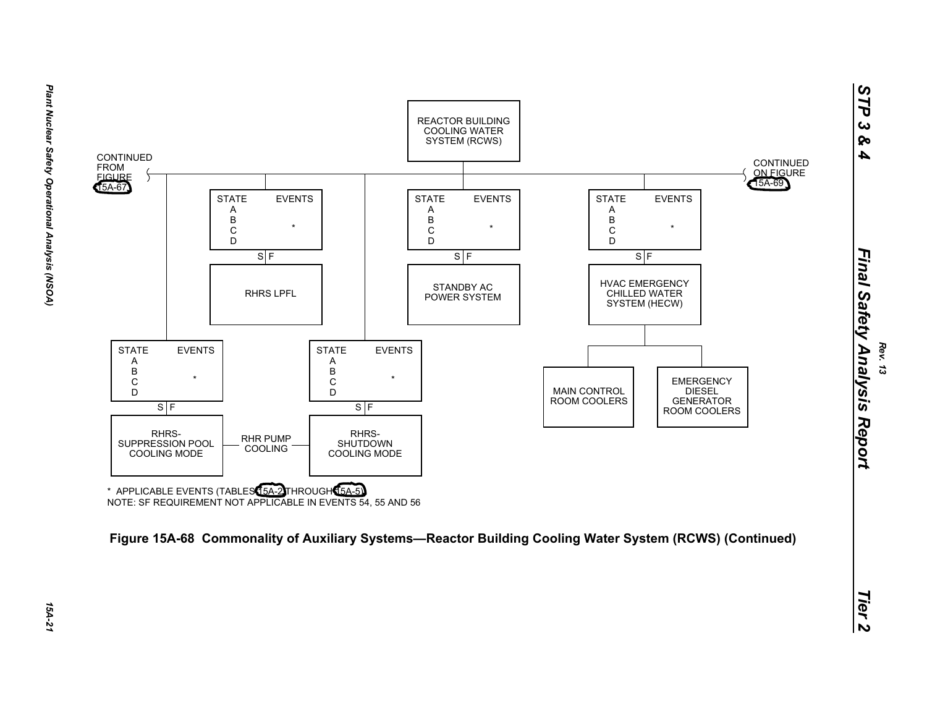![](_page_20_Figure_0.jpeg)

![](_page_20_Figure_2.jpeg)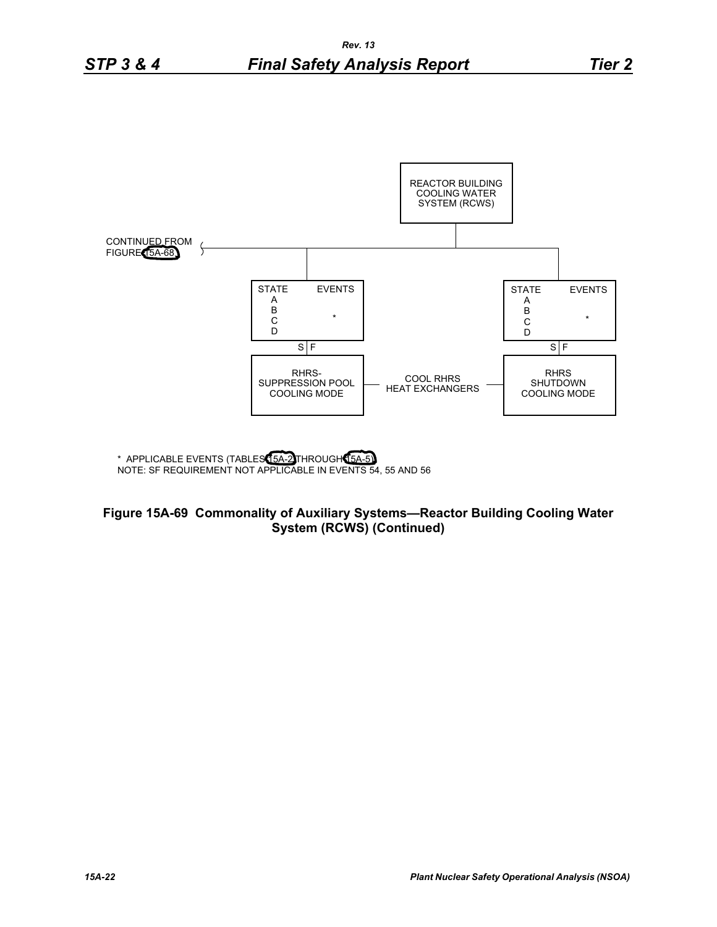![](_page_21_Figure_2.jpeg)

## **Figure 15A-69 Commonality of Auxiliary Systems—Reactor Building Cooling Water System (RCWS) (Continued)**